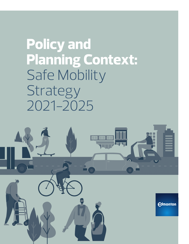**Policy and Planning Context:** Safe Mobility **Strategy** 2021-2025

**Edmonton**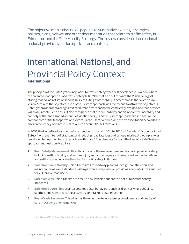The objective of this discussion paper is to summarize existing strategies, policies, plans, bylaws, and other documentation that relate to traffic safety in Edmonton and the Safe Mobility Strategy. The review considered international, national, provincial, and local policies and context.

## International, National, and Provincial Policy Context **International**

The principles of the Safe System approach to traffic safety were first developed in Sweden, where the parliament adopted a road traffic safety bill in 1997 that also put forward the Vision Zero goal, stating that no loss of life or serious injury resulting from mobility is acceptable. In the Swedish law, Vision Zero was the objective, and a Safe System approach was the means to attain this objective. A Safe System approach recognizes that human errors cannot be completely avoided, and thus crashes will always continue to occur. It also recognizes that the human body has an inherent vulnerability and can only withstand a limited amount of kinetic energy. A Safe System approach aims to ensure the components of the transportation system – road users, vehicles, and the transportation network and environment they operate in – all take into account these limitations.

In 2010, the United Nations adopted a resolution to proclaim 2011 to 2020 a "Decade of Action for Road Safety" with the intent of stabilizing and reducing road fatalities and serious injuries. A global plan was developed to help member states achieve this goal<sup>1</sup>. The plan puts forward the idea of a Safe System approach and rests on five pillars:

- **1. Road Safety Management:** This pillar concerns the management and leadership in road safety, including setting fatality and serious injury reduction targets at the national and regional level and setting aside dedicated funding for traffic safety initiatives.
- **2. Safer Roads and Mobility:** This pillar relates to roadway planning, design, construction, and maintenance as well as land use with a particular emphasis on providing adequate infrastructure for vulnerable road users.
- **3. Safer Vehicles:** This pillar aims to ensure new vehicles adhere to a set of minimum safety standards.
- **4. Safer Road Users:** This pillar targets road user behaviours such as drunk driving, speeding, seatbelt, and helmet wearing as well as general road user education.
- **5. Post-Crash Response:** This pillar has the objective to increase responsiveness and quality of care in post-crash emergencies.

<sup>1</sup> United Nations (2011). Global Plan for the Decade of Action for Road Safety 2011-2020, 24 p.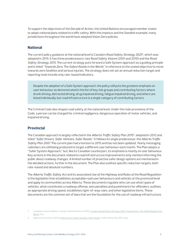To support the objectives of the Decade of Action, the United Nations encouraged member states to adopt national plans related to traffic safety. With this impetus and the Swedish example, many jurisdictions throughout the world have adopted Vision Zero policies.

#### **National**

The current policy guidance at the national level is Canada's *Road Safety Strategy 2025*2, which was adopted in 2015. It has three predecessors: two *Road Safety Visions* (2001 and 2010) and the *Road Safety Strategy 2015*. The current strategy puts forward a Safe System approach as a guiding principle and is titled "*Towards Zero: The Safest Roads in the World*," in reference to the stated objective to move towards zero fatalities and serious injuries. The strategy does not set an annual reduction target and reporting tools include only rate-based indicators.

Despite the adoption of a Safe System approach, the policy still puts the greatest emphasis on user behaviour as demonstrated in the list of key risk groups and contributing factors where drunk driving, distracted driving, drug impaired driving, fatigue impaired driving, and others are listed individually, but road infrastructure is a single category of contributing factors.

The Criminal Code also shapes road safety at the national level. Under the main provisions of the Code, a person can be charged for criminal negligence, dangerous operation of motor vehicles, and impaired driving.

#### **Provincial**

The Canadian approach is largely reflected in the *Alberta Traffic Safety Plan 2015*3, adopted in 2012 and titled "*Safer Drivers, Safer Vehicles, Safer Roads*." It follows its single predecessor, the *Alberta Traffic Safety Plan 2007*. The current plan had a horizon to 2015 and has not been updated. Yearly messaging calendars are still being produced to target a different user behaviour each month. The Plan adopts a "Safer System Approach," but, like its Canadian counterpart, its emphasis is mostly on user behaviour. Key actions in the document related to road infrastructure improvements only mention informing the public about roadway changes. A limited number of proactive safer design options are mentioned in the detailed actions, further in the document. The Plan also outlines specific reduction targets, both rate-based and absolute numbers.

The *Alberta Traffic Safety Act* and its associated *Use of the Highway and Rules of the Road Regulation*  is the legislation that establishes acceptable road user behaviours and vehicles at the provincial level and apply to communities across Alberta. These documents regulate who can use what types of vehicles, what constitutes a roadway offense, sets penalties and punishments for offenders, outlines an appropriate driving speed, establishes right-of-way rules, and other legislative items. These documents are the common set of laws that are the foundation for the use of roadway infrastructure.

<sup>2</sup> Canadian Council of Motor Transport Administrators (2016). Canada's Road Safety Strategy 2025. Towards Zero: The Safest Roads in the World, 14 p.

<sup>3</sup> Alberta Government (2012). Safer Drivers, Safer Vehicles, Safer Roads. Traffic Safety Plan 2015, 56 p.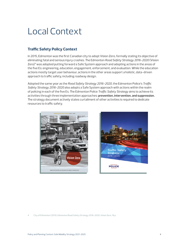# Local Context

## **Traffic Safety Policy Context**

In 2015, Edmonton was the first Canadian city to adopt Vision Zero, formally stating its objective of eliminating fatal and serious injury crashes. The Edmonton *Road Safety Strategy 2016-2020* (Vision Zero) $4$  was adopted putting forward a Safe System approach and adopting actions in the areas of the five Es: engineering, education, engagement, enforcement, and evaluation. While the education actions mostly target user behaviour, actions in the other areas support a holistic, data-driven approach to traffic safety, including roadway design.

Adopted the same year as the *Road Safety Strategy 2016-2020*, the Edmonton Police's *Traffic Safety Strategy 2016-2020* also adopts a Safe System approach with actions within the realm of policing in each of the five Es. The Edmonton Police *Traffic Safety Strategy* aims to achieve its activities through three implementation approaches: **prevention, intervention, and suppression.** The strategy document actively states curtailment of other activities is required to dedicate resources to traffic safety.





4 City of Edmonton (2015). Edmonton Road Safety Strategy 2016-2020, Vision Zero, 16 p.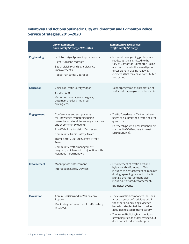## **Initiatives and Actions outlined in City of Edmonton and Edmonton Police Service Strategies, 2016-2020**

|                    | <b>City of Edmonton</b><br>Road Safety Strategy 2016-2020                                                                                                                                                                                                                                                                                                                      | <b>Edmonton Police Service</b><br><b>Traffic Safety Strategy</b>                                                                                                                                                                                                                                                 |
|--------------------|--------------------------------------------------------------------------------------------------------------------------------------------------------------------------------------------------------------------------------------------------------------------------------------------------------------------------------------------------------------------------------|------------------------------------------------------------------------------------------------------------------------------------------------------------------------------------------------------------------------------------------------------------------------------------------------------------------|
| <b>Engineering</b> | · Left-turn signal phase improvements<br>· Right-turn lane redesign<br>· Signal visibility and sight distance<br>improvements<br>· Pedestrian safety upgrades                                                                                                                                                                                                                  | · Information regarding problematic<br>roadways is transmitted to the<br>City of Edmonton. Edmonton Police<br>also participate in the investigation<br>of collisions, including roadway<br>elements that may have contributed<br>to crashes.                                                                     |
| <b>Education</b>   | · Voices of Traffic Safety videos<br>· Street Team<br>· Marketing campaigns (sun glare,<br>outsmart the dark, impaired<br>driving, etc.)                                                                                                                                                                                                                                       | · School programs and promotion of<br>traffic safety programs in the media.                                                                                                                                                                                                                                      |
| <b>Engagement</b>  | · Conferences and symposiums<br>for knowledge transfer including<br>presentations for different organizations<br>and at community events<br>· Run Walk Ride for Vision Zero event<br>· Community Traffic Safety Award<br>· Traffic Safety Culture Survey, Street<br>Team<br>· Community traffic management<br>program, which runs in conjunction with<br>Neighbourhood Renewal | · Traffic Tuesdays on Twitter, where<br>users can submit their traffic-related<br>questions.<br>· Partnerships with local stakeholders<br>such as MADD (Mothers Against<br>Drunk Driving).                                                                                                                       |
| <b>Enforcement</b> | · Mobile photo enforcement<br>· Intersection Safety Devices                                                                                                                                                                                                                                                                                                                    | Enforcement of traffic laws and<br>bylaws within Edmonton. This<br>includes the enforcement of impaired<br>driving, speeding, respect of traffic<br>signals, etc. Interventions also<br>include automated enforcement.<br>· Big Ticket events                                                                    |
| <b>Evaluation</b>  | · Annual Collision and/or Vision Zero<br>Reports<br>· Monitoring before-after of traffic safety<br>initiatives                                                                                                                                                                                                                                                                 | · The evaluation component includes<br>an assessment of activities within<br>the other Es, and using evidence-<br>based strategies to inform police<br>activities related to traffic safety.<br>· The Annual Policing Plan monitors<br>severe injuries and fatal crashes, but<br>does not set reduction targets. |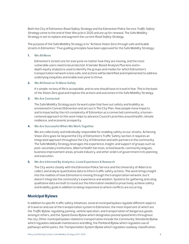Both the City of Edmonton *Road Safety Strategy* and the Edmonton Police Service *Traffic Safety Strategy* come to the end of their lifecycle in 2020 and are up for renewal. The Safe Mobility Strategy is set to replace and augment the current *Road Safety Strategy.*

The purpose of the Safe Mobility Strategy is to "Achieve Vision Zero through safe and livable streets in Edmonton." Five guiding principles have been approved for the Safe Mobility Strategy:

#### **1. We All Move**

Edmonton's streets are for everyone no matter how they are moving, and the most vulnerable users need to be protected. A Gender Based Analysis Plus lens and indepth equity analysis is used to identify the groups and modes for which Edmonton's transportation network is less safe, and actions will be identified and implemented to address underlying inequities and enable everyone to thrive.

#### **2. We All Deserve To Move Safely**

It's simple: no loss of life is acceptable, and no one should have to travel in fear. This is the basis of the Vision Zero goal and inspires the actions and outcomes in the Safe Mobility Strategy.

**3. We Are Connected**

The Safe Mobility Strategy puts forward a plan that lives out safety and livability as envisioned in ConnectEdmonton and set out in The City Plan. How people move impacts and is impacted by the rich complexity of Edmonton as a connected community; a humancentered approach to this work helps to advance Council's priorities around health, climate resilience, and economic prosperity.

#### **4. We Are Successful When We Work Together**

We are collectively and individually responsible for enabling safety on our streets. Achieving Vision Zero goes far beyond the City of Edmonton's Traffic Safety section; it requires an integrated approach throughout the City of Edmonton and with partners in the community. The Safe Mobility Strategy leverages the experience, insight, and support of groups such as post-secondary institutions, Alberta Health Services, school boards, community leagues, business improvement areas, private industry, and other orders of government in its planning and execution.

#### **5. We Are Informed By Analytics, Lived Experience & Research**

The City works closely with the Edmonton Police Service and the University of Alberta to collect and analyze quantitative data to inform traffic safety actions. This work brings insight into the realities of how Edmonton is moving through the transportation network, but it doesn't integrate the community's experience and wisdom. Systems for gathering and using qualitative data are built to round out the information needed to proactively achieve safety and livability goals in addition to being responsive to where conflicts are occurring.

#### **Municipal Bylaws**

In addition to specific traffic safety initiatives, several municipal bylaws regulate different aspects of travel on and use of the transportation system in Edmonton, the most important of which are the *Traffic Bylaw*, regulating parking, vehicle operation, and transportation of dangerous goods, amongst others, and the *Speed Zones Bylaw* which designates posted speed limits throughout the city. Other municipal bylaws related to transportation include the *Community Standards Bylaw*  which regulates sidewalk maintenance and idling, the *Parkland Bylaw* which regulates use of pathways within parks, the *Transportation System Bylaw* which regulates roadway classification.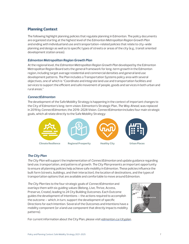## **Planning Context**

The following highlight planning policies that regulate planning in Edmonton. The policy documents are organized starting at the highest level of the *Edmonton Metropolitan Region Growth Plan*  and ending with individual land use and transportation-related policies that relate to city-wide planning and design as well as to specific types of streets or areas of the city (e.g., transit oriented development station areas).

#### *Edmonton Metropolitan Region Growth Plan*

At the regional level, the *Edmonton Metropolitan Region Growth Plan* developed by the Edmonton Metropolitan Region Board sets the general framework for long-term growth in the Edmonton region, including target average residential and commercial densities and general land use development patterns. The Plan includes a Transportation Systems policy area with several objectives, one of which is "Coordinate and integrate land use and transportation facilities and services to support the efficient and safe movement of people, goods and services in both urban and rural areas."

#### *ConnectEdmonton*

The development of the Safe Mobility Strategy is happening in the context of important changes to the City of Edmonton's long-term vision. Edmonton's Strategic Plan, *The Way Ahead*, was replaced in 2019 by *ConnectEdmonton*, the 2019-2028 Vision. *ConnectEdmonton* includes four main strategic goals, which all relate directly to the Safe Mobility Strategy:



#### *The City Plan*

*The City Plan* will support the implementation of *ConnectEdmonton* and update guidance regarding land use, transportation, and patterns of growth. *The City Plan* presents an important opportunity to ensure all planning policies help achieve safe mobility in Edmonton. These policies influence the built form (streets, buildings, and their interaction), the location of destinations, and the types of transportation options that are available and comfortable to move around Edmonton.

*The City Plan* ties to the four strategic goals of *ConnectEdmonton* and overlays them with six guiding values (Belong, Live, Thrive, Access, Preserve, Create), leading to 24 City Building Outcomes. Each Outcome guides the development of Intentions – the actions required to accomplish the outcome – which, in turn, support the development of specific Directions for each Intention. Several of the Outcomes and Intentions have a mobility component (or a land use component that directly impacts mobility patterns).



For current information about the City Plan, please visit [edmonton.ca/cityplan.](http://edmonton.ca/cityplan)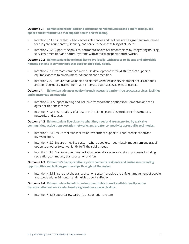**Outcome 2.1 Edmontonians feel safe and secure in their communities and benefit from public spaces and infrastructure that support health and wellbeing.**

- **•** Intention 2.1.1 Ensure that publicly accessible spaces and facilities are designed and maintained for the year-round safety, security, and barrier-free accessibility of all users.
- **•** Intention 2.1.2 Support the physical and mental health of Edmontonians by integrating housing, services, amenities, and natural systems with active transportation networks.

**Outcome 2.2 Edmontonians have the ability to live locally, with access to diverse and affordable housing options in communities that support their daily needs.**

- **•** Intention 2.2.1 Promote compact, mixed use development within districts that supports equitable access to employment, education and amenities.
- **•** Intention 2.2.3 Ensure that walkable and attractive mixed use development occurs at nodes and along corridors in a manner that is integrated with accessible mass transit.

**Outcome 4.1 Edmonton advances equity through access to barrier-free spaces, services, facilities and transportation networks.**

- **•** Intention 4.1.1 Support inviting and inclusive transportation options for Edmontonians of all ages, abilities and incomes
- **•** Intention 4.1.2 Ensure safety of all users in the planning and design of city infrastructure, networks and spaces

**Outcome 4.2 Edmontonians live closer to what they need and are supported by walkable communities, active transportation networks and greater connectivity across all travel modes.**

- **•** Intention 4.2.1 Ensure that transportation investment supports urban intensification and diversification.
- **•** Intention 4.2.2 Ensure a mobility system where people can seamlessly move from one travel option to another to conveniently fulfill their daily needs.
- **•** Intention 4.2.3 Ensure active transportation networks serve a variety of purposes including recreation, commuting, transportation and fun.

**Outcome 4.3 Edmonton's transportation system connects residents and businesses, creating opportunities and building partnerships throughout the region.**

**•** Intention 4.3.1 Ensure that the transportation system enables the efficient movement of people and goods within Edmonton and the Metropolitan Region.

**Outcome 4.4 Edmontonians benefit from improved public transit and high quality active transportation networks which reduce greenhouse gas emissions.**

**•** Intention 4.4.1 Support a low carbon transportation system.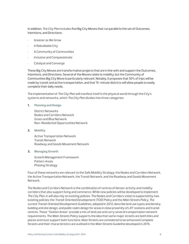In addition, *The City Plan* includes five Big City Moves that run parallel to the set of Outcomes, Intentions, and Directions:

- Greener as We Grow
- A Rebuildable City
- A Community of Communities
- Inclusive and Compassionate
- Catalyze and Converge

These Big City Moves are transformative projects that are in line with and support the Outcomes, Intentions, and Directions. Several of the Moves relate to mobility, but the Community of Communities Big City Move is particularly relevant. Notably, it proposes that 50% of trips will be made by transit and active transportation, and that 15-minute districts will allow people to easily complete their daily needs.

The implementation of *The City Plan* will manifest itself in the physical world through the City's systems and networks, which *The City Plan* divides into three categories:

**1. Planning and Design**

District Networks Nodes and Corridors Network Green and Blue Network Non-Residential Opportunities Network

**2. Mobility**

Active Transportation Network Transit Network Roadway and Goods Movement Network

**3. Managing Growth**

Growth Management Framework Pattern Areas Phasing Strategy

Four of these networks are relevant to the Safe Mobility Strategy: the Nodes and Corridors Network, the Active Transportation Network, the Transit Network, and the Roadway and Goods Movement Network.

The Nodes and Corridors Network is the combination of centres of denser activity and mobility corridors that also support living and commerce. While new policies will be developed to implement *The City Plan*, it will also rely on existing policies. The Nodes and Corridors vision is supported by two existing policies: the *Transit Oriented Development (TOD) Policy* and the *Main Streets Policy. The current Transit Oriented Development Guidelines*, adopted in 2012, describe land use types and density, building and site design, and public realm design for areas in close proximity of LRT stations and transit centres. These "Station Areas" provide a mix of land use and carry several transportation network requirements. The *Main Streets Policy* supports the idea that some major streets are both links and places and must support both functions. Main Streets are considered to be enhanced Complete Streets and their characteristics are outlined in the *Main Streets Guideline* developed in 2015.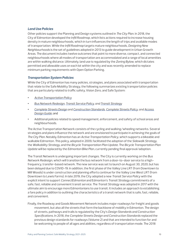#### *Land Use Policies*

Other policies support the Planning and Design systems outlined in *The City Plan*. In 2018, the City of Edmonton developed the *Infill Roadmap*, which lists actions required to increase housing density in mature neighbourhoods, which in turn influences the length of trips and available modes of transportation. While the *Infill Roadmap* targets mature neighbourhoods, *Designing New Neighbourhoods* is the set of guidelines adopted in 2013 to guide development in Urban Growth Areas. The document includes twelve outcomes that point to more diverse, compact, and connected neighbourhoods where all modes of transportation are accommodated and a range of local amenities are within walking distance. Ultimately, land use is regulated by the *Zoning Bylaw*, which dictates permitted and allowable uses on each lot within the city and was recently amended to replace minimum parking requirements with Open Option Parking.

#### *Transportation System Policies*

While the City of Edmonton has many policies, strategies, and plans associated with transportation that relate to the Safe Mobility Strategy, the following summarizes existing transportation policies that are particularly related to traffic safety, Vision Zero, and Safe System:

- **•** *[Active Transportation Policy](https://www.edmonton.ca/city_government/documents/PoliciesDirectives/C544.pdf)*
- **•** *[Bus Network Redesign,](https://www.edmonton.ca/projects_plans/transit/bus-network-redesign.aspx) [Transit Service Policy,](https://www.edmonton.ca/city_government/documents/PoliciesDirectives/C539A.pdf) and [Transit Strategy](https://www.edmonton.ca/documents/RoadsTraffic/Transit_Strategy_June-29-2017.pdf)*
- **•** *[Complete Streets Design](https://www.edmonton.ca/city_government/documents/PDF/CompleteStreets_DesignStandards_Sept2018.pdf)* and *Construction Standards, [Complete Streets Policy](https://www.edmonton.ca/city_government/documents/PoliciesDirectives/C573A.pdf), and [Access](https://www.edmonton.ca/documents/PDF/AFE-AccessDesignGuide.pdf)  [Design Guide](https://www.edmonton.ca/documents/PDF/AFE-AccessDesignGuide.pdf)*; and
- **•** Additional policies related to speed management, enforcement, and safety of school areas and neighbourhoods.

The Active Transportation Network consists of the cycling and walking/wheeling networks. Several strategies and plans influence the network and are envisioned to participate in achieving the goals of *The City Plan*. Notably, Edmonton has an *Active Transportation Policy*, which supports a bikeable and walkable Edmonton. This policy, adopted in 2009, facilitated the adoption of the *Sidewalk Strategy*, the *Walkability Strategy*, and the *Bicycle Transportation Plan Update*. The *Bicycle Transportation Plan Update* will be replaced by the *Edmonton Bike Plan*, currently pending final approval/adoption.

The Transit Network is undergoing important changes. The City is currently working on the *Bus Network Redesign*, which will transition the bus network from a door-to-door service to a highfrequency, transfer-based network. The new service was set to launch on August 30, 2020, but has been delayed due to COVID-19. In addition, the first phase of the Valley Line LRT (from Downtown to Mill Woods) is under construction and planning efforts continue for the Valley Line West LRT (from Downtown to Lewis Farms). In late 2019, the City adopted a new *Transit Service Policy* with the explicit intent to support *ConnectEdmonton* and Edmonton's *Transit Strategy* commitments of a safe, fast, reliable and convenient transit service. The *Transit Strategy* was adopted in 2017 with the ultimate aim to encourage more Edmontonians to use transit. It includes an approach to establishing a fare policy in addition to outlining the characteristics of a transit network that is safe, fast, reliable, and convenient.

Finally, the Roadway and Goods Movement Network includes major roadways for freight and goods movement, but also all the streets that form the backbone of mobility in Edmonton. The design of streets, pathways and trails is regulated by the City's *Design Standards and Construction Specifications*. In 2018, the *Complete Streets Design and Construction Standards* replaced the previous design standards for roadways (Volume 2) and that are intended to function for and be welcoming to people of all ages and abilities, regardless of transportation mode. The 2018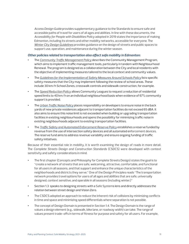*Access Design Guide* provides supplementary guidance to the Standards to ensure safe and accessible paths of travel for users of all ages and abilities. In line with these documents, the *Accessibility for People with Disabilities Policy* adopted in 2019 states the importance of making Edmonton, including its streets and other mobility networks, accessible for everyone. The *[Winter City Design Guidelines](https://www.edmonton.ca/city_government/initiatives_innovation/winter-design-guidelines.aspx)* provides guidance on the design of streets and public spaces to support use, operation, and maintenance during the winter season.

#### *Other policies related to transportation also affect safe mobility in Edmonton:*

- **•** The *[Community Traffic Management Policy](https://www.edmonton.ca/transportation/PoliciesDirectives/Community_Traffic_Management_Policy_C590.pdf)* describes the Community Management Program, which aims to implement traffic management tools, particularly in tandem with Neighbourhood Renewal. The program is designed as a collaboration between the City and local residents with the objective of implementing measures tailored to the local context and community values.
- **•** The *[Guidelines for the Implementation of Safety Measures Around Schools Policy](https://www.edmonton.ca/city_government/documents/PoliciesDirectives/C514.pdf)* lists specific safety measures that the City may implement following the review of school areas. These include 30 km/h School Zones, crosswalk controls and sidewalk construction, for example.
- **•** The *[Speed Reduction Policy](http://edmonton.ca/city_government/documents/PoliciesDirectives/C566.pdf)* allows Community Leagues to request a reduction of residential speed limits to 40 km/h on an individual neighbourhood basis when evidence of 67% community support is provided.
- **•** The *[Urban Traffic Noise Policy](https://www.edmonton.ca/city_government/documents/PoliciesDirectives/C506A.pdf)* places responsibility on developers to ensure noise in the back yards of new private residences adjacent to transportation facilities do not exceed 65 dBA. It also aims to ensure this noise limit is not exceeded when building or upgrading transportation facilities in existing neighbourhoods and opens the possibility for minimizing traffic noise in existing neighbourhoods adjacent to existing transportation facilities.
- **•** The *[Traffic Safety and Automated Enforcement Reserve Policy](https://www.edmonton.ca/city_government/documents/PoliciesDirectives/C579.pdf)* establishes a reserve funded by revenue from the use of intersection safety devices and all automated enforcement devices. The reserve fund aims to address revenue variability and ensure ongoing funding of traffic safety initiatives.

Because of their essential role in mobility, it is worth examining the design of roads in more detail. The *Complete Streets Design and Construction Standards* (CSDCS) were developed with context sensitivity and safety considerations in mind.

- **•** The first chapter (Concepts and Philosophy for Complete Streets Design) states the goal is to "create a network of streets that are safe, welcoming, attractive, comfortable, and functional for all users in all seasons, and that support and enhance the unique characteristics of the neighborhoods and districts they serve." One of the Design Principles reads "The transportation network provides travel options for users of all ages and abilities that are safe, universally designed, context sensitive, and operable in all seasons (including winter.)"
- **•** Section 1.3 speaks to designing streets with a Safe Systems lens and directly addresses the relation between street design and Vision Zero.
- **•** The CSDCS adopted an approach to reduce the inherent risk of collisions by minimizing conflicts in time and space and minimizing speed differentials where separation is not possible.
- **•** The concept of Design Domain is presented in Section 1.4. The Design Domain is the range of values a design element (e.g., sidewalk, bike lane, or roadway width) can take. The range of values present trade-offs in terms of fitness for purpose and safety for all users. For example,